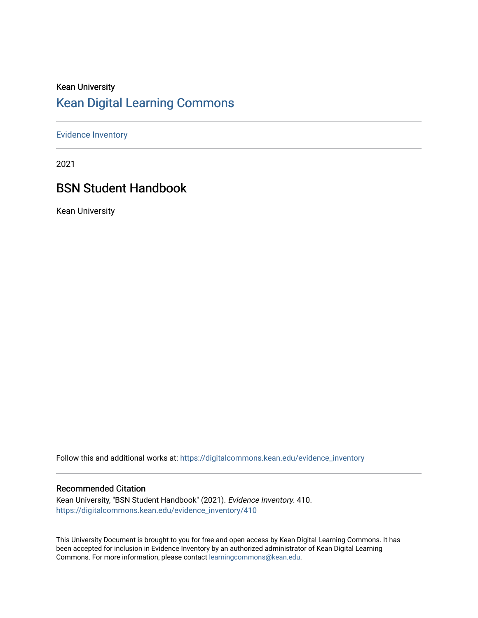# Kean University [Kean Digital Learning Commons](https://digitalcommons.kean.edu/)

[Evidence Inventory](https://digitalcommons.kean.edu/evidence_inventory) 

2021

# BSN Student Handbook

Kean University

Follow this and additional works at: [https://digitalcommons.kean.edu/evidence\\_inventory](https://digitalcommons.kean.edu/evidence_inventory?utm_source=digitalcommons.kean.edu%2Fevidence_inventory%2F410&utm_medium=PDF&utm_campaign=PDFCoverPages)

#### Recommended Citation

Kean University, "BSN Student Handbook" (2021). Evidence Inventory. 410. [https://digitalcommons.kean.edu/evidence\\_inventory/410](https://digitalcommons.kean.edu/evidence_inventory/410?utm_source=digitalcommons.kean.edu%2Fevidence_inventory%2F410&utm_medium=PDF&utm_campaign=PDFCoverPages)

This University Document is brought to you for free and open access by Kean Digital Learning Commons. It has been accepted for inclusion in Evidence Inventory by an authorized administrator of Kean Digital Learning Commons. For more information, please contact [learningcommons@kean.edu.](mailto:learningcommons@kean.edu)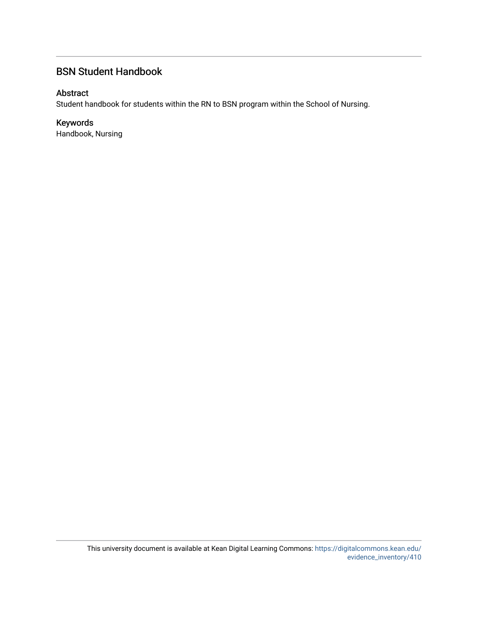# BSN Student Handbook

#### Abstract

Student handbook for students within the RN to BSN program within the School of Nursing.

#### Keywords

Handbook, Nursing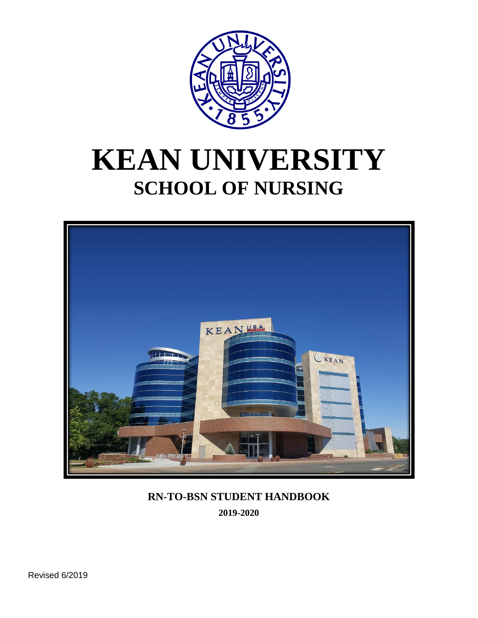

# **KEAN UNIVERSITY SCHOOL OF NURSING**



**RN-TO-BSN STUDENT HANDBOOK 2019-2020**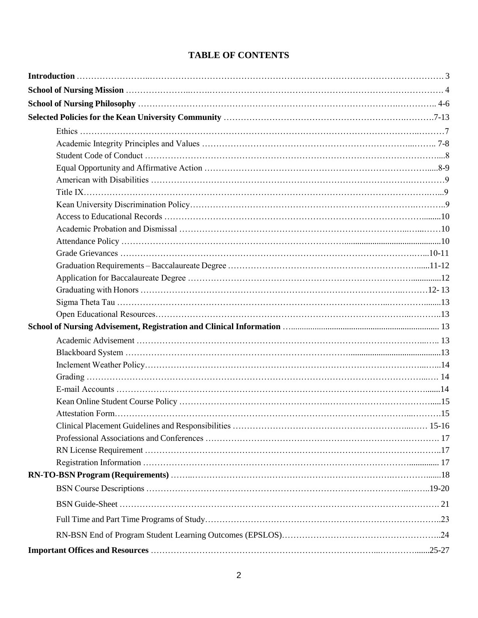# **TABLE OF CONTENTS**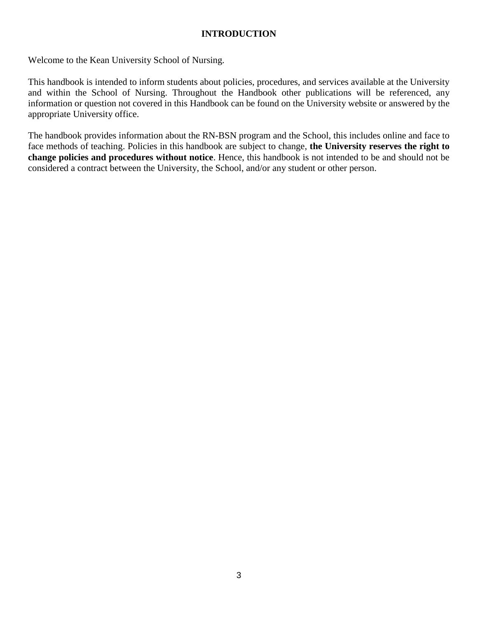#### **INTRODUCTION**

Welcome to the Kean University School of Nursing.

This handbook is intended to inform students about policies, procedures, and services available at the University and within the School of Nursing. Throughout the Handbook other publications will be referenced, any information or question not covered in this Handbook can be found on the University website or answered by the appropriate University office.

The handbook provides information about the RN-BSN program and the School, this includes online and face to face methods of teaching. Policies in this handbook are subject to change, **the University reserves the right to change policies and procedures without notice**. Hence, this handbook is not intended to be and should not be considered a contract between the University, the School, and/or any student or other person.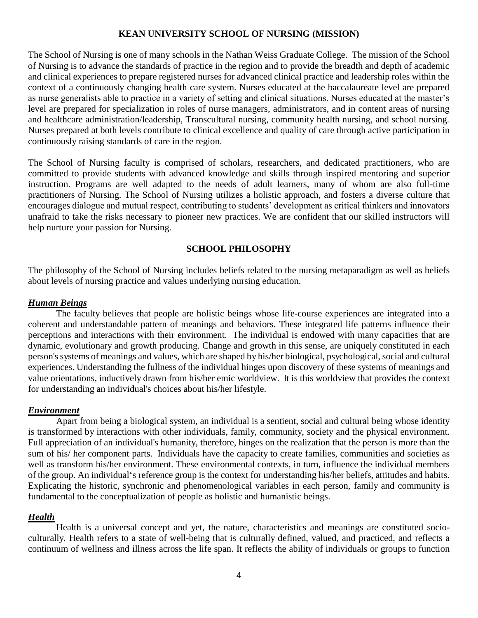#### **KEAN UNIVERSITY SCHOOL OF NURSING (MISSION)**

The School of Nursing is one of many schools in the Nathan Weiss Graduate College. The mission of the School of Nursing is to advance the standards of practice in the region and to provide the breadth and depth of academic and clinical experiences to prepare registered nurses for advanced clinical practice and leadership roles within the context of a continuously changing health care system. Nurses educated at the baccalaureate level are prepared as nurse generalists able to practice in a variety of setting and clinical situations. Nurses educated at the master's level are prepared for specialization in roles of nurse managers, administrators, and in content areas of nursing and healthcare administration/leadership, Transcultural nursing, community health nursing, and school nursing. Nurses prepared at both levels contribute to clinical excellence and quality of care through active participation in continuously raising standards of care in the region.

The School of Nursing faculty is comprised of scholars, researchers, and dedicated practitioners, who are committed to provide students with advanced knowledge and skills through inspired mentoring and superior instruction. Programs are well adapted to the needs of adult learners, many of whom are also full-time practitioners of Nursing. The School of Nursing utilizes a holistic approach, and fosters a diverse culture that encourages dialogue and mutual respect, contributing to students' development as critical thinkers and innovators unafraid to take the risks necessary to pioneer new practices. We are confident that our skilled instructors will help nurture your passion for Nursing.

#### **SCHOOL PHILOSOPHY**

The philosophy of the School of Nursing includes beliefs related to the nursing metaparadigm as well as beliefs about levels of nursing practice and values underlying nursing education.

#### *Human Beings*

The faculty believes that people are holistic beings whose life-course experiences are integrated into a coherent and understandable pattern of meanings and behaviors. These integrated life patterns influence their perceptions and interactions with their environment. The individual is endowed with many capacities that are dynamic, evolutionary and growth producing. Change and growth in this sense, are uniquely constituted in each person's systems of meanings and values, which are shaped by his/her biological, psychological, social and cultural experiences. Understanding the fullness of the individual hinges upon discovery of these systems of meanings and value orientations, inductively drawn from his/her emic worldview. It is this worldview that provides the context for understanding an individual's choices about his/her lifestyle.

#### *Environment*

Apart from being a biological system, an individual is a sentient, social and cultural being whose identity is transformed by interactions with other individuals, family, community, society and the physical environment. Full appreciation of an individual's humanity, therefore, hinges on the realization that the person is more than the sum of his/ her component parts. Individuals have the capacity to create families, communities and societies as well as transform his/her environment. These environmental contexts, in turn, influence the individual members of the group. An individual's reference group is the context for understanding his/her beliefs, attitudes and habits. Explicating the historic, synchronic and phenomenological variables in each person, family and community is fundamental to the conceptualization of people as holistic and humanistic beings.

#### *Health*

Health is a universal concept and yet, the nature, characteristics and meanings are constituted socioculturally. Health refers to a state of well-being that is culturally defined, valued, and practiced, and reflects a continuum of wellness and illness across the life span. It reflects the ability of individuals or groups to function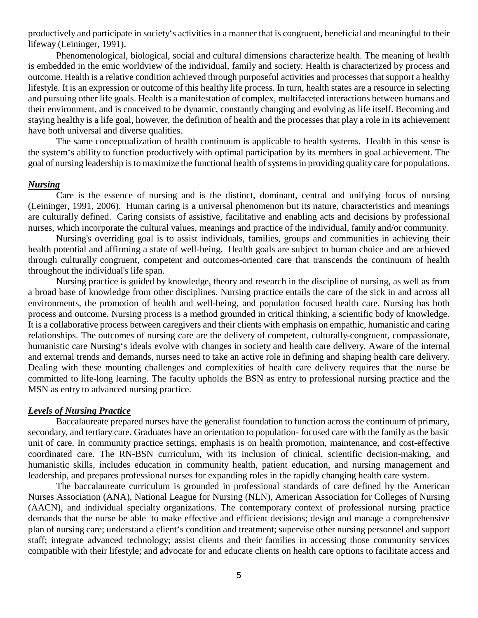productively and participate in society's activities in a manner that is congruent, beneficial and meaningful to their lifeway (Leininger, 1991).

Phenomenological, biological, social and cultural dimensions characterize health. The meaning of health is embedded in the emic worldview of the individual, family and society. Health is characterized by process and outcome. Health is a relative condition achieved through purposeful activities and processes that support a healthy lifestyle. It is an expression or outcome of this healthy life process. In turn, health states are a resource in selecting and pursuing other life goals. Health is a manifestation of complex, multifaceted interactions between humans and their environment, and is conceived to be dynamic, constantly changing and evolving as life itself. Becoming and staying healthy is a life goal, however, the definition of health and the processes that play a role in its achievement have both universal and diverse qualities.

The same conceptualization of health continuum is applicable to health systems. Health in this sense is the system's ability to function productively with optimal participation by its members in goal achievement. The goal of nursing leadership is to maximize the functional health of systems in providing quality care for populations.

#### *Nursing*

Care is the essence of nursing and is the distinct, dominant, central and unifying focus of nursing (Leininger, 1991, 2006). Human caring is a universal phenomenon but its nature, characteristics and meanings are culturally defined. Caring consists of assistive, facilitative and enabling acts and decisions by professional nurses, which incorporate the cultural values, meanings and practice of the individual, family and/or community.

Nursing's overriding goal is to assist individuals, families, groups and communities in achieving their health potential and affirming a state of well-being. Health goals are subject to human choice and are achieved through culturally congruent, competent and outcomes-oriented care that transcends the continuum of health throughout the individual's life span.

Nursing practice is guided by knowledge, theory and research in the discipline of nursing, as well as from a broad base of knowledge from other disciplines. Nursing practice entails the care of the sick in and across all environments, the promotion of health and well-being, and population focused health care. Nursing has both process and outcome. Nursing process is a method grounded in critical thinking, a scientific body of knowledge. It is a collaborative process between caregivers and their clients with emphasis on empathic, humanistic and caring relationships. The outcomes of nursing care are the delivery of competent, culturally-congruent, compassionate, humanistic care Nursing's ideals evolve with changes in society and health care delivery. Aware of the internal and external trends and demands, nurses need to take an active role in defining and shaping health care delivery. Dealing with these mounting challenges and complexities of health care delivery requires that the nurse be committed to life-long learning. The faculty upholds the BSN as entry to professional nursing practice and the MSN as entry to advanced nursing practice.

#### *Levels of Nursing Practice*

Baccalaureate prepared nurses have the generalist foundation to function across the continuum of primary, secondary, and tertiary care. Graduates have an orientation to population- focused care with the family as the basic unit of care. In community practice settings, emphasis is on health promotion, maintenance, and cost-effective coordinated care. The RN-BSN curriculum, with its inclusion of clinical, scientific decision-making, and humanistic skills, includes education in community health, patient education, and nursing management and leadership, and prepares professional nurses for expanding roles in the rapidly changing health care system.

The baccalaureate curriculum is grounded in professional standards of care defined by the American Nurses Association (ANA), National League for Nursing (NLN), American Association for Colleges of Nursing (AACN), and individual specialty organizations. The contemporary context of professional nursing practice demands that the nurse be able to make effective and efficient decisions; design and manage a comprehensive plan of nursing care; understand a client's condition and treatment; supervise other nursing personnel and support staff; integrate advanced technology; assist clients and their families in accessing those community services compatible with their lifestyle; and advocate for and educate clients on health care options to facilitate access and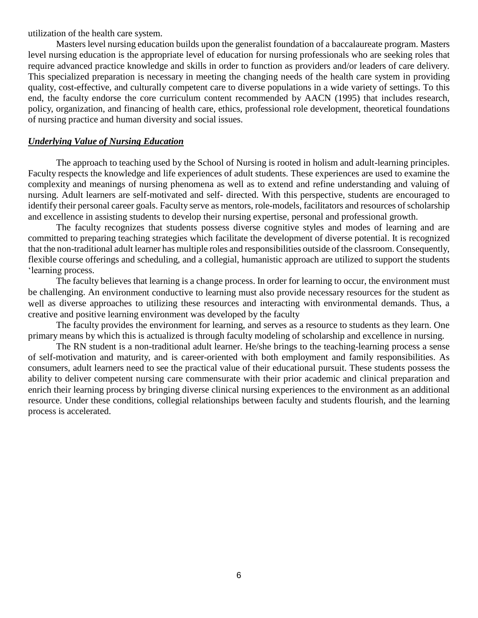utilization of the health care system.

Masters level nursing education builds upon the generalist foundation of a baccalaureate program. Masters level nursing education is the appropriate level of education for nursing professionals who are seeking roles that require advanced practice knowledge and skills in order to function as providers and/or leaders of care delivery. This specialized preparation is necessary in meeting the changing needs of the health care system in providing quality, cost-effective, and culturally competent care to diverse populations in a wide variety of settings. To this end, the faculty endorse the core curriculum content recommended by AACN (1995) that includes research, policy, organization, and financing of health care, ethics, professional role development, theoretical foundations of nursing practice and human diversity and social issues.

#### *Underlying Value of Nursing Education*

The approach to teaching used by the School of Nursing is rooted in holism and adult-learning principles. Faculty respects the knowledge and life experiences of adult students. These experiences are used to examine the complexity and meanings of nursing phenomena as well as to extend and refine understanding and valuing of nursing. Adult learners are self-motivated and self- directed. With this perspective, students are encouraged to identify their personal career goals. Faculty serve as mentors, role-models, facilitators and resources of scholarship and excellence in assisting students to develop their nursing expertise, personal and professional growth.

The faculty recognizes that students possess diverse cognitive styles and modes of learning and are committed to preparing teaching strategies which facilitate the development of diverse potential. It is recognized that the non-traditional adult learner has multiple roles and responsibilities outside of the classroom. Consequently, flexible course offerings and scheduling, and a collegial, humanistic approach are utilized to support the students 'learning process.

The faculty believes that learning is a change process. In order for learning to occur, the environment must be challenging. An environment conductive to learning must also provide necessary resources for the student as well as diverse approaches to utilizing these resources and interacting with environmental demands. Thus, a creative and positive learning environment was developed by the faculty

The faculty provides the environment for learning, and serves as a resource to students as they learn. One primary means by which this is actualized is through faculty modeling of scholarship and excellence in nursing.

The RN student is a non-traditional adult learner. He/she brings to the teaching-learning process a sense of self-motivation and maturity, and is career-oriented with both employment and family responsibilities. As consumers, adult learners need to see the practical value of their educational pursuit. These students possess the ability to deliver competent nursing care commensurate with their prior academic and clinical preparation and enrich their learning process by bringing diverse clinical nursing experiences to the environment as an additional resource. Under these conditions, collegial relationships between faculty and students flourish, and the learning process is accelerated.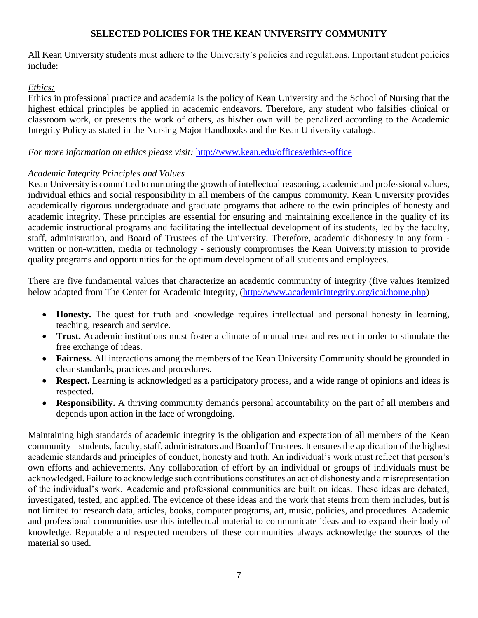# **SELECTED POLICIES FOR THE KEAN UNIVERSITY COMMUNITY**

All Kean University students must adhere to the University's policies and regulations. Important student policies include:

# *Ethics:*

Ethics in professional practice and academia is the policy of Kean University and the School of Nursing that the highest ethical principles be applied in academic endeavors. Therefore, any student who falsifies clinical or classroom work, or presents the work of others, as his/her own will be penalized according to the Academic Integrity Policy as stated in the Nursing Major Handbooks and the Kean University catalogs.

# *For more information on ethics please visit:* <http://www.kean.edu/offices/ethics-office>

# *Academic Integrity Principles and Values*

Kean University is committed to nurturing the growth of intellectual reasoning, academic and professional values, individual ethics and social responsibility in all members of the campus community. Kean University provides academically rigorous undergraduate and graduate programs that adhere to the twin principles of honesty and academic integrity. These principles are essential for ensuring and maintaining excellence in the quality of its academic instructional programs and facilitating the intellectual development of its students, led by the faculty, staff, administration, and Board of Trustees of the University. Therefore, academic dishonesty in any form written or non-written, media or technology - seriously compromises the Kean University mission to provide quality programs and opportunities for the optimum development of all students and employees.

There are five fundamental values that characterize an academic community of integrity (five values itemized below adapted from The Center for Academic Integrity, [\(http://www.academicintegrity.org/icai/home.php\)](http://www.academicintegrity.org/icai/home.php)

- **Honesty.** The quest for truth and knowledge requires intellectual and personal honesty in learning, teaching, research and service.
- Trust. Academic institutions must foster a climate of mutual trust and respect in order to stimulate the free exchange of ideas.
- **Fairness.** All interactions among the members of the Kean University Community should be grounded in clear standards, practices and procedures.
- **Respect.** Learning is acknowledged as a participatory process, and a wide range of opinions and ideas is respected.
- **Responsibility.** A thriving community demands personal accountability on the part of all members and depends upon action in the face of wrongdoing.

Maintaining high standards of academic integrity is the obligation and expectation of all members of the Kean community – students, faculty, staff, administrators and Board of Trustees. It ensures the application of the highest academic standards and principles of conduct, honesty and truth. An individual's work must reflect that person's own efforts and achievements. Any collaboration of effort by an individual or groups of individuals must be acknowledged. Failure to acknowledge such contributions constitutes an act of dishonesty and a misrepresentation of the individual's work. Academic and professional communities are built on ideas. These ideas are debated, investigated, tested, and applied. The evidence of these ideas and the work that stems from them includes, but is not limited to: research data, articles, books, computer programs, art, music, policies, and procedures. Academic and professional communities use this intellectual material to communicate ideas and to expand their body of knowledge. Reputable and respected members of these communities always acknowledge the sources of the material so used.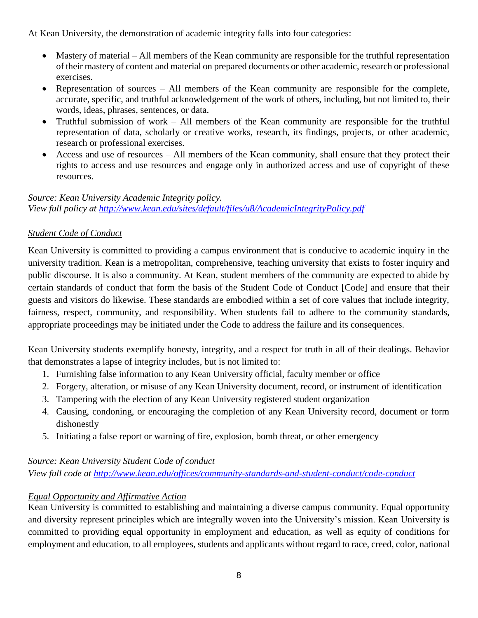At Kean University, the demonstration of academic integrity falls into four categories:

- Mastery of material All members of the Kean community are responsible for the truthful representation of their mastery of content and material on prepared documents or other academic, research or professional exercises.
- Representation of sources All members of the Kean community are responsible for the complete, accurate, specific, and truthful acknowledgement of the work of others, including, but not limited to, their words, ideas, phrases, sentences, or data.
- Truthful submission of work All members of the Kean community are responsible for the truthful representation of data, scholarly or creative works, research, its findings, projects, or other academic, research or professional exercises.
- Access and use of resources All members of the Kean community, shall ensure that they protect their rights to access and use resources and engage only in authorized access and use of copyright of these resources.

*Source: Kean University Academic Integrity policy. View full policy at<http://www.kean.edu/sites/default/files/u8/AcademicIntegrityPolicy.pdf>*

# *Student Code of Conduct*

Kean University is committed to providing a campus environment that is conducive to academic inquiry in the university tradition. Kean is a metropolitan, comprehensive, teaching university that exists to foster inquiry and public discourse. It is also a community. At Kean, student members of the community are expected to abide by certain standards of conduct that form the basis of the Student Code of Conduct [Code] and ensure that their guests and visitors do likewise. These standards are embodied within a set of core values that include integrity, fairness, respect, community, and responsibility. When students fail to adhere to the community standards, appropriate proceedings may be initiated under the Code to address the failure and its consequences.

Kean University students exemplify honesty, integrity, and a respect for truth in all of their dealings. Behavior that demonstrates a lapse of integrity includes, but is not limited to:

- 1. Furnishing false information to any Kean University official, faculty member or office
- 2. Forgery, alteration, or misuse of any Kean University document, record, or instrument of identification
- 3. Tampering with the election of any Kean University registered student organization
- 4. Causing, condoning, or encouraging the completion of any Kean University record, document or form dishonestly
- 5. Initiating a false report or warning of fire, explosion, bomb threat, or other emergency

# *Source: Kean University Student Code of conduct*

*View full code at<http://www.kean.edu/offices/community-standards-and-student-conduct/code-conduct>*

# *Equal Opportunity and Affirmative Action*

Kean University is committed to establishing and maintaining a diverse campus community. Equal opportunity and diversity represent principles which are integrally woven into the University's mission. Kean University is committed to providing equal opportunity in employment and education, as well as equity of conditions for employment and education, to all employees, students and applicants without regard to race, creed, color, national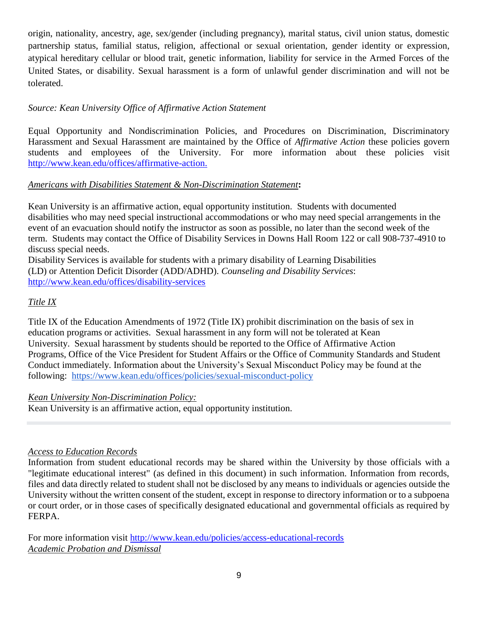origin, nationality, ancestry, age, sex/gender (including pregnancy), marital status, civil union status, domestic partnership status, familial status, religion, affectional or sexual orientation, gender identity or expression, atypical hereditary cellular or blood trait, genetic information, liability for service in the Armed Forces of the United States, or disability. Sexual harassment is a form of unlawful gender discrimination and will not be tolerated.

# *Source: Kean University Office of Affirmative Action Statement*

Equal Opportunity and Nondiscrimination Policies, and Procedures on Discrimination, Discriminatory Harassment and Sexual Harassment are maintained by the Office of *Affirmative Action* these policies govern students and employees of the University. For more information about these policies visit [http://www.kean.edu/offices/affirmative-action.](http://www.kean.edu/offices/affirmative-action)

# *Americans with Disabilities Statement & Non-Discrimination Statement***:**

Kean University is an affirmative action, equal opportunity institution. Students with documented disabilities who may need special instructional accommodations or who may need special arrangements in the event of an evacuation should notify the instructor as soon as possible, no later than the second week of the term. Students may contact the Office of Disability Services in Downs Hall Room 122 or call 908-737-4910 to discuss special needs.

Disability Services is available for students with a primary disability of Learning Disabilities (LD) or Attention Deficit Disorder (ADD/ADHD). *Counseling and Disability Services*: <http://www.kean.edu/offices/disability-services>

# *Title IX*

Title IX of the Education Amendments of 1972 (Title IX) prohibit discrimination on the basis of sex in education programs or activities. Sexual harassment in any form will not be tolerated at Kean University. Sexual harassment by students should be reported to the Office of Affirmative Action Programs, Office of the Vice President for Student Affairs or the Office of Community Standards and Student Conduct immediately. Information about the University's Sexual Misconduct Policy may be found at the following: <https://www.kean.edu/offices/policies/sexual-misconduct-policy>

# *Kean University Non-Discrimination Policy:*

Kean University is an affirmative action, equal opportunity institution.

# *Access to Education Records*

Information from student educational records may be shared within the University by those officials with a "legitimate educational interest" (as defined in this document) in such information. Information from records, files and data directly related to student shall not be disclosed by any means to individuals or agencies outside the University without the written consent of the student, except in response to directory information or to a subpoena or court order, or in those cases of specifically designated educational and governmental officials as required by FERPA.

For more information visit<http://www.kean.edu/policies/access-educational-records> *Academic Probation and Dismissal*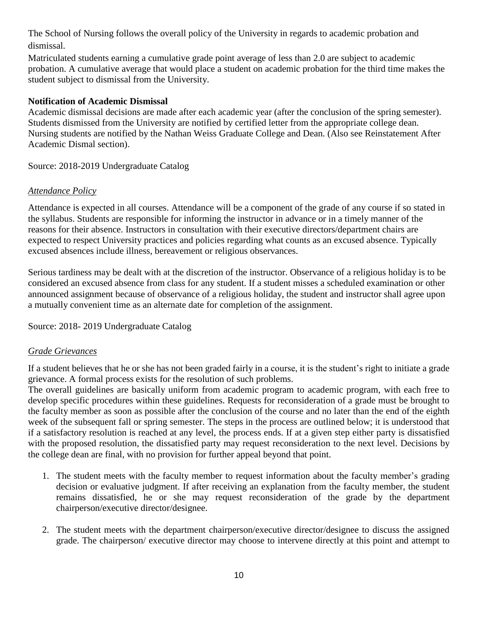The School of Nursing follows the overall policy of the University in regards to academic probation and dismissal.

Matriculated students earning a cumulative grade point average of less than 2.0 are subject to academic probation. A cumulative average that would place a student on academic probation for the third time makes the student subject to dismissal from the University.

#### **Notification of Academic Dismissal**

Academic dismissal decisions are made after each academic year (after the conclusion of the spring semester). Students dismissed from the University are notified by certified letter from the appropriate college dean. Nursing students are notified by the Nathan Weiss Graduate College and Dean. (Also see Reinstatement After Academic Dismal section).

Source: 2018-2019 Undergraduate Catalog

#### *Attendance Policy*

Attendance is expected in all courses. Attendance will be a component of the grade of any course if so stated in the syllabus. Students are responsible for informing the instructor in advance or in a timely manner of the reasons for their absence. Instructors in consultation with their executive directors/department chairs are expected to respect University practices and policies regarding what counts as an excused absence. Typically excused absences include illness, bereavement or religious observances.

Serious tardiness may be dealt with at the discretion of the instructor. Observance of a religious holiday is to be considered an excused absence from class for any student. If a student misses a scheduled examination or other announced assignment because of observance of a religious holiday, the student and instructor shall agree upon a mutually convenient time as an alternate date for completion of the assignment.

Source: 2018- 2019 Undergraduate Catalog

#### *Grade Grievances*

If a student believes that he or she has not been graded fairly in a course, it is the student's right to initiate a grade grievance. A formal process exists for the resolution of such problems.

The overall guidelines are basically uniform from academic program to academic program, with each free to develop specific procedures within these guidelines. Requests for reconsideration of a grade must be brought to the faculty member as soon as possible after the conclusion of the course and no later than the end of the eighth week of the subsequent fall or spring semester. The steps in the process are outlined below; it is understood that if a satisfactory resolution is reached at any level, the process ends. If at a given step either party is dissatisfied with the proposed resolution, the dissatisfied party may request reconsideration to the next level. Decisions by the college dean are final, with no provision for further appeal beyond that point.

- 1. The student meets with the faculty member to request information about the faculty member's grading decision or evaluative judgment. If after receiving an explanation from the faculty member, the student remains dissatisfied, he or she may request reconsideration of the grade by the department chairperson/executive director/designee.
- 2. The student meets with the department chairperson/executive director/designee to discuss the assigned grade. The chairperson/ executive director may choose to intervene directly at this point and attempt to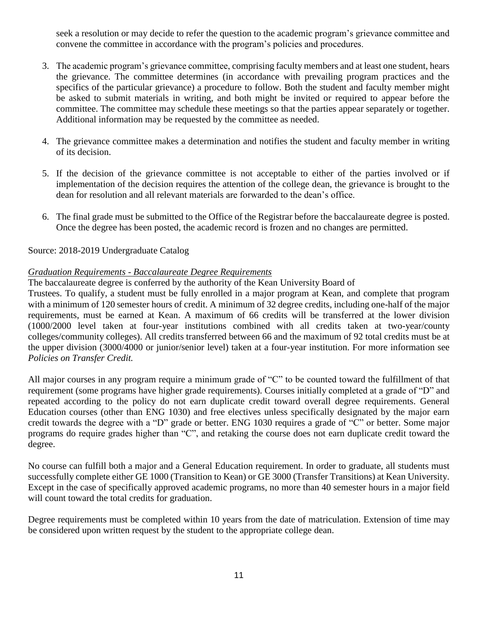seek a resolution or may decide to refer the question to the academic program's grievance committee and convene the committee in accordance with the program's policies and procedures.

- 3. The academic program's grievance committee, comprising faculty members and at least one student, hears the grievance. The committee determines (in accordance with prevailing program practices and the specifics of the particular grievance) a procedure to follow. Both the student and faculty member might be asked to submit materials in writing, and both might be invited or required to appear before the committee. The committee may schedule these meetings so that the parties appear separately or together. Additional information may be requested by the committee as needed.
- 4. The grievance committee makes a determination and notifies the student and faculty member in writing of its decision.
- 5. If the decision of the grievance committee is not acceptable to either of the parties involved or if implementation of the decision requires the attention of the college dean, the grievance is brought to the dean for resolution and all relevant materials are forwarded to the dean's office.
- 6. The final grade must be submitted to the Office of the Registrar before the baccalaureate degree is posted. Once the degree has been posted, the academic record is frozen and no changes are permitted.

#### Source: 2018-2019 Undergraduate Catalog

#### *Graduation Requirements - Baccalaureate Degree Requirements*

The baccalaureate degree is conferred by the authority of the Kean University Board of

Trustees. To qualify, a student must be fully enrolled in a major program at Kean, and complete that program with a minimum of 120 semester hours of credit. A minimum of 32 degree credits, including one-half of the major requirements, must be earned at Kean. A maximum of 66 credits will be transferred at the lower division (1000/2000 level taken at four-year institutions combined with all credits taken at two-year/county colleges/community colleges). All credits transferred between 66 and the maximum of 92 total credits must be at the upper division (3000/4000 or junior/senior level) taken at a four-year institution. For more information see *Policies on Transfer Credit.*

All major courses in any program require a minimum grade of "C" to be counted toward the fulfillment of that requirement (some programs have higher grade requirements). Courses initially completed at a grade of "D" and repeated according to the policy do not earn duplicate credit toward overall degree requirements. General Education courses (other than ENG 1030) and free electives unless specifically designated by the major earn credit towards the degree with a "D" grade or better. ENG 1030 requires a grade of "C" or better. Some major programs do require grades higher than "C", and retaking the course does not earn duplicate credit toward the degree.

No course can fulfill both a major and a General Education requirement. In order to graduate, all students must successfully complete either GE 1000 (Transition to Kean) or GE 3000 (Transfer Transitions) at Kean University. Except in the case of specifically approved academic programs, no more than 40 semester hours in a major field will count toward the total credits for graduation.

Degree requirements must be completed within 10 years from the date of matriculation. Extension of time may be considered upon written request by the student to the appropriate college dean.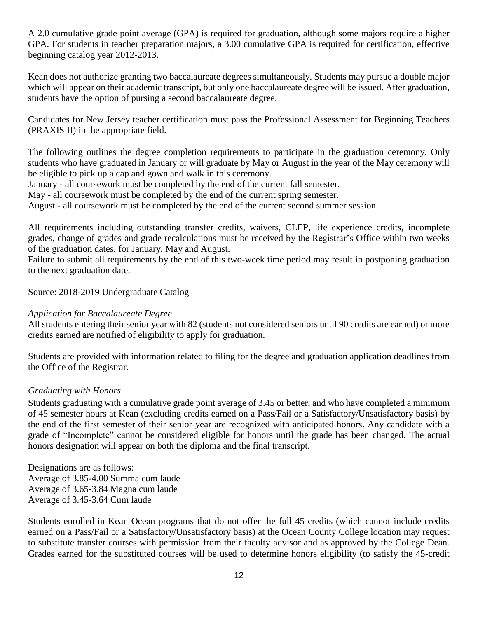A 2.0 cumulative grade point average (GPA) is required for graduation, although some majors require a higher GPA. For students in teacher preparation majors, a 3.00 cumulative GPA is required for certification, effective beginning catalog year 2012-2013.

Kean does not authorize granting two baccalaureate degrees simultaneously. Students may pursue a double major which will appear on their academic transcript, but only one baccalaureate degree will be issued. After graduation, students have the option of pursing a second baccalaureate degree.

Candidates for New Jersey teacher certification must pass the Professional Assessment for Beginning Teachers (PRAXIS II) in the appropriate field.

The following outlines the degree completion requirements to participate in the graduation ceremony. Only students who have graduated in January or will graduate by May or August in the year of the May ceremony will be eligible to pick up a cap and gown and walk in this ceremony.

January - all coursework must be completed by the end of the current fall semester.

May - all coursework must be completed by the end of the current spring semester.

August - all coursework must be completed by the end of the current second summer session.

All requirements including outstanding transfer credits, waivers, CLEP, life experience credits, incomplete grades, change of grades and grade recalculations must be received by the Registrar's Office within two weeks of the graduation dates, for January, May and August.

Failure to submit all requirements by the end of this two-week time period may result in postponing graduation to the next graduation date.

Source: 2018-2019 Undergraduate Catalog

#### *Application for Baccalaureate Degree*

All students entering their senior year with 82 (students not considered seniors until 90 credits are earned) or more credits earned are notified of eligibility to apply for graduation.

Students are provided with information related to filing for the degree and graduation application deadlines from the Office of the Registrar.

#### *Graduating with Honors*

Students graduating with a cumulative grade point average of 3.45 or better, and who have completed a minimum of 45 semester hours at Kean (excluding credits earned on a Pass/Fail or a Satisfactory/Unsatisfactory basis) by the end of the first semester of their senior year are recognized with anticipated honors. Any candidate with a grade of "Incomplete" cannot be considered eligible for honors until the grade has been changed. The actual honors designation will appear on both the diploma and the final transcript.

Designations are as follows: Average of 3.85-4.00 Summa cum laude Average of 3.65-3.84 Magna cum laude Average of 3.45-3.64 Cum laude

Students enrolled in Kean Ocean programs that do not offer the full 45 credits (which cannot include credits earned on a Pass/Fail or a Satisfactory/Unsatisfactory basis) at the Ocean County College location may request to substitute transfer courses with permission from their faculty advisor and as approved by the College Dean. Grades earned for the substituted courses will be used to determine honors eligibility (to satisfy the 45-credit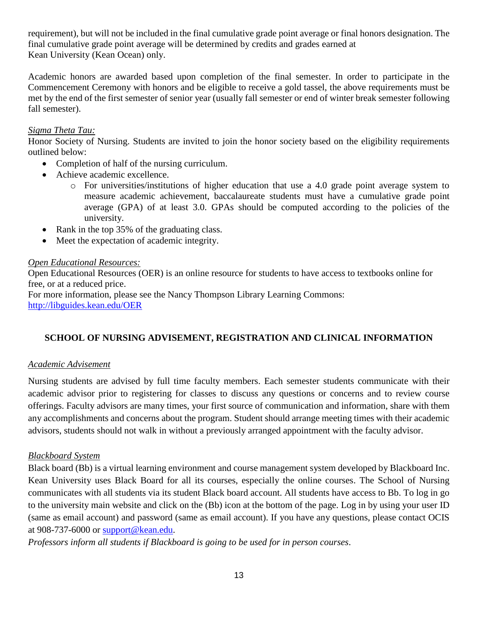requirement), but will not be included in the final cumulative grade point average or final honors designation. The final cumulative grade point average will be determined by credits and grades earned at Kean University (Kean Ocean) only.

Academic honors are awarded based upon completion of the final semester. In order to participate in the Commencement Ceremony with honors and be eligible to receive a gold tassel, the above requirements must be met by the end of the first semester of senior year (usually fall semester or end of winter break semester following fall semester).

# *Sigma Theta Tau:*

Honor Society of Nursing. Students are invited to join the honor society based on the eligibility requirements outlined below:

- Completion of half of the nursing curriculum.
- Achieve academic excellence.
	- $\circ$  For universities/institutions of higher education that use a 4.0 grade point average system to measure academic achievement, baccalaureate students must have a cumulative grade point average (GPA) of at least 3.0. GPAs should be computed according to the policies of the university.
- Rank in the top 35% of the graduating class.
- Meet the expectation of academic integrity.

#### *Open Educational Resources:*

Open Educational Resources (OER) is an online resource for students to have access to textbooks online for free, or at a reduced price. For more information, please see the Nancy Thompson Library Learning Commons: <http://libguides.kean.edu/OER>

# **SCHOOL OF NURSING ADVISEMENT, REGISTRATION AND CLINICAL INFORMATION**

# *Academic Advisement*

Nursing students are advised by full time faculty members. Each semester students communicate with their academic advisor prior to registering for classes to discuss any questions or concerns and to review course offerings. Faculty advisors are many times, your first source of communication and information, share with them any accomplishments and concerns about the program. Student should arrange meeting times with their academic advisors, students should not walk in without a previously arranged appointment with the faculty advisor.

# *Blackboard System*

Black board (Bb) is a virtual learning environment and course management system developed by Blackboard Inc. Kean University uses Black Board for all its courses, especially the online courses. The School of Nursing communicates with all students via its student Black board account. All students have access to Bb. To log in go to the university main website and click on the (Bb) icon at the bottom of the page. Log in by using your user ID (same as email account) and password (same as email account). If you have any questions, please contact OCIS at 908-737-6000 or [support@kean.edu.](mailto:support@kean.edu)

*Professors inform all students if Blackboard is going to be used for in person courses*.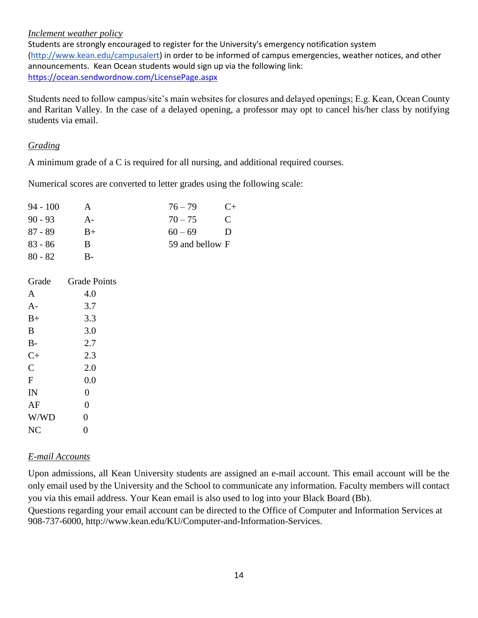## *Inclement weather policy*

Students are strongly encouraged to register for the University's emergency notification system [\(http://www.kean.edu/campusalert\)](http://www.kean.edu/campusalert) in order to be informed of campus emergencies, weather notices, and other announcements. Kean Ocean students would sign up via the following link: <https://ocean.sendwordnow.com/LicensePage.aspx>

Students need to follow campus/site's main websites for closures and delayed openings; E.g. Kean, Ocean County and Raritan Valley. In the case of a delayed opening, a professor may opt to cancel his/her class by notifying students via email.

#### *Grading*

A minimum grade of a C is required for all nursing, and additional required courses.

Numerical scores are converted to letter grades using the following scale:

| 94 - 100  | A     | $76 - 79$<br>$($ +       |
|-----------|-------|--------------------------|
| $90 - 93$ | $A -$ | $70 - 75$<br>$\mathbf C$ |
| $87 - 89$ | $B+$  | $60 - 69$<br>Ð           |
| $83 - 86$ | R     | 59 and bellow F          |
| $80 - 82$ | R-    |                          |

| Grade          | <b>Grade Points</b> |
|----------------|---------------------|
| A              | 4.0                 |
| A-             | 3.7                 |
| $B+$           | 3.3                 |
| B              | 3.0                 |
| $B-$           | 2.7                 |
| $C+$           | 2.3                 |
| $\overline{C}$ | 2.0                 |
| $\overline{F}$ | 0.0                 |
| IN             | 0                   |
| AF             | 0                   |
| W/WD           | 0                   |
| NC             | 0                   |

# *E-mail Accounts*

Upon admissions, all Kean University students are assigned an e-mail account. This email account will be the only email used by the University and the School to communicate any information. Faculty members will contact you via this email address. Your Kean email is also used to log into your Black Board (Bb).

Questions regarding your email account can be directed to the Office of Computer and Information Services at 908-737-6000, [http://www.kean.edu/KU/Computer-and-Information-Services.](http://www.kean.edu/KU/Computer-and-Information-Services)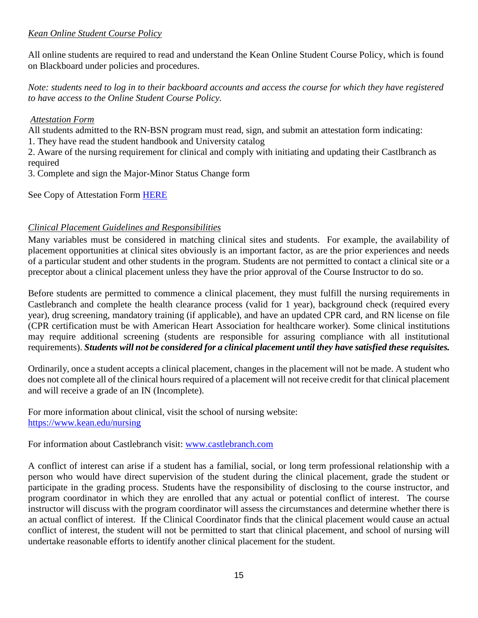# *Kean Online Student Course Policy*

All online students are required to read and understand the Kean Online Student Course Policy, which is found on Blackboard under policies and procedures.

*Note: students need to log in to their backboard accounts and access the course for which they have registered to have access to the Online Student Course Policy.*

#### *Attestation Form*

All students admitted to the RN-BSN program must read, sign, and submit an attestation form indicating:

1. They have read the student handbook and University catalog

2. Aware of the nursing requirement for clinical and comply with initiating and updating their Castlbranch as required

3. Complete and sign the Major-Minor Status Change form

See Copy of Attestation Form [HERE](file:///C:/Users/Donette/Desktop/KEAN%20UNIVERSITY%20SCHOOL%20OF%20NURSING%20ATTESTATION%20FORM.docx)

# *Clinical Placement Guidelines and Responsibilities*

Many variables must be considered in matching clinical sites and students. For example, the availability of placement opportunities at clinical sites obviously is an important factor, as are the prior experiences and needs of a particular student and other students in the program. Students are not permitted to contact a clinical site or a preceptor about a clinical placement unless they have the prior approval of the Course Instructor to do so.

Before students are permitted to commence a clinical placement, they must fulfill the nursing requirements in Castlebranch and complete the health clearance process (valid for 1 year), background check (required every year), drug screening, mandatory training (if applicable), and have an updated CPR card, and RN license on file (CPR certification must be with American Heart Association for healthcare worker). Some clinical institutions may require additional screening (students are responsible for assuring compliance with all institutional requirements). *Students will not be considered for a clinical placement until they have satisfied these requisites.*

Ordinarily, once a student accepts a clinical placement, changes in the placement will not be made. A student who does not complete all of the clinical hours required of a placement will not receive credit for that clinical placement and will receive a grade of an IN (Incomplete).

For more information about clinical, visit the school of nursing website: <https://www.kean.edu/nursing>

For information about Castlebranch visit: [www.castlebranch.com](http://www.castlebranch.com/)

A conflict of interest can arise if a student has a familial, social, or long term professional relationship with a person who would have direct supervision of the student during the clinical placement, grade the student or participate in the grading process. Students have the responsibility of disclosing to the course instructor, and program coordinator in which they are enrolled that any actual or potential conflict of interest. The course instructor will discuss with the program coordinator will assess the circumstances and determine whether there is an actual conflict of interest. If the Clinical Coordinator finds that the clinical placement would cause an actual conflict of interest, the student will not be permitted to start that clinical placement, and school of nursing will undertake reasonable efforts to identify another clinical placement for the student.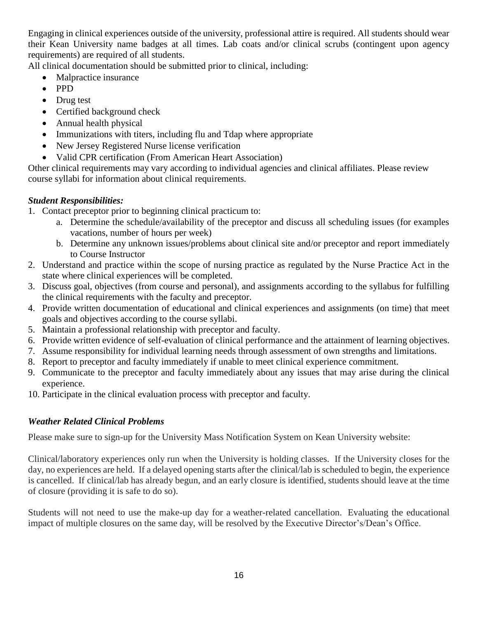Engaging in clinical experiences outside of the university, professional attire is required. All students should wear their Kean University name badges at all times. Lab coats and/or clinical scrubs (contingent upon agency requirements) are required of all students.

All clinical documentation should be submitted prior to clinical, including:

- Malpractice insurance
- PPD
- Drug test
- Certified background check
- Annual health physical
- Immunizations with titers, including flu and Tdap where appropriate
- New Jersey Registered Nurse license verification
- Valid CPR certification (From American Heart Association)

Other clinical requirements may vary according to individual agencies and clinical affiliates. Please review course syllabi for information about clinical requirements.

# *Student Responsibilities:*

- 1. Contact preceptor prior to beginning clinical practicum to:
	- a. Determine the schedule/availability of the preceptor and discuss all scheduling issues (for examples vacations, number of hours per week)
	- b. Determine any unknown issues/problems about clinical site and/or preceptor and report immediately to Course Instructor
- 2. Understand and practice within the scope of nursing practice as regulated by the Nurse Practice Act in the state where clinical experiences will be completed.
- 3. Discuss goal, objectives (from course and personal), and assignments according to the syllabus for fulfilling the clinical requirements with the faculty and preceptor.
- 4. Provide written documentation of educational and clinical experiences and assignments (on time) that meet goals and objectives according to the course syllabi.
- 5. Maintain a professional relationship with preceptor and faculty.
- 6. Provide written evidence of self-evaluation of clinical performance and the attainment of learning objectives.
- 7. Assume responsibility for individual learning needs through assessment of own strengths and limitations.
- 8. Report to preceptor and faculty immediately if unable to meet clinical experience commitment.
- 9. Communicate to the preceptor and faculty immediately about any issues that may arise during the clinical experience.
- 10. Participate in the clinical evaluation process with preceptor and faculty.

# *Weather Related Clinical Problems*

Please make sure to sign-up for the University Mass Notification System on Kean University website:

Clinical/laboratory experiences only run when the University is holding classes. If the University closes for the day, no experiences are held. If a delayed opening starts after the clinical/lab is scheduled to begin, the experience is cancelled. If clinical/lab has already begun, and an early closure is identified, students should leave at the time of closure (providing it is safe to do so).

Students will not need to use the make-up day for a weather-related cancellation. Evaluating the educational impact of multiple closures on the same day, will be resolved by the Executive Director's/Dean's Office.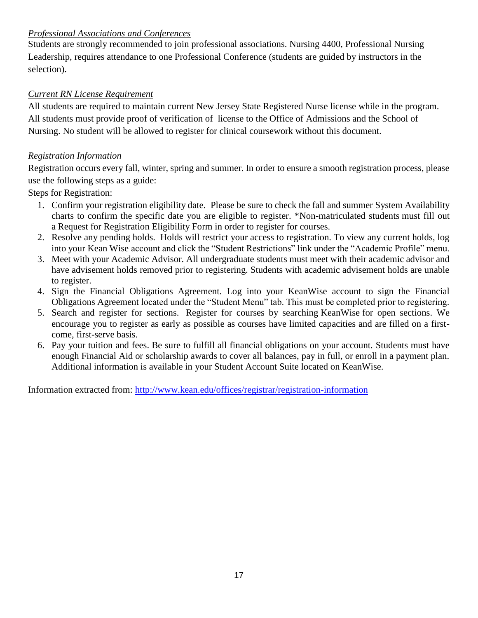# *Professional Associations and Conferences*

Students are strongly recommended to join professional associations. Nursing 4400, Professional Nursing Leadership, requires attendance to one Professional Conference (students are guided by instructors in the selection).

# *Current RN License Requirement*

All students are required to maintain current New Jersey State Registered Nurse license while in the program. All students must provide proof of verification of license to the Office of Admissions and the School of Nursing. No student will be allowed to register for clinical coursework without this document.

# *Registration Information*

Registration occurs every fall, winter, spring and summer. In order to ensure a smooth registration process, please use the following steps as a guide:

Steps for Registration:

- 1. Confirm your registration eligibility date. Please be sure to check the [fall](http://www.kean.edu/sites/default/files/registrar/System%20Availability_Fall%202017%20033017.pdf) and [summer](http://www.kean.edu/sites/default/files/registrar/System%20Availability_Summer%202017%20040317.pdf) System Availability charts to confirm the specific date you are eligible to register. \*Non-matriculated students must fill out a [Request for Registration Eligibility Form](https://keanu.formstack.com/forms/registrationeligibilityform) in order to register for courses.
- 2. Resolve any pending holds. Holds will restrict your access to registration. To view any current holds, log into your [Kean](http://webreg.kean.edu/) Wise account and click the "Student Restrictions" link under the "Academic Profile" menu.
- 3. Meet with your Academic Advisor. All undergraduate students must meet with their academic advisor and have advisement holds removed prior to registering. Students with academic advisement holds are unable to register.
- 4. Sign the Financial Obligations Agreement. Log into your [KeanWise](http://webreg.kean.edu/) account to sign the [Financial](http://www.kean.edu/offices/student-accounting/financial-agreement-obligation)  [Obligations Agreement](http://www.kean.edu/offices/student-accounting/financial-agreement-obligation) located under the "Student Menu" tab. This must be completed prior to registering.
- 5. Search and register for sections. Register for courses by searching [KeanWise](http://webreg.kean.edu/) for open sections. We encourage you to register as early as possible as courses have limited capacities and are filled on a firstcome, first-serve basis.
- 6. Pay your tuition and fees. Be sure to fulfill all financial obligations on your account. Students must have enough Financial Aid or scholarship awards to cover all balances, pay in full, or enroll in a payment plan. Additional information is available in your Student Account Suite located on [KeanWise.](https://webreg.kean.edu/WebAdvisor/WebAdvisor?TYPE=M&PID=CORE-WBMAIN&TOKENIDX=3268090617)

Information extracted from:<http://www.kean.edu/offices/registrar/registration-information>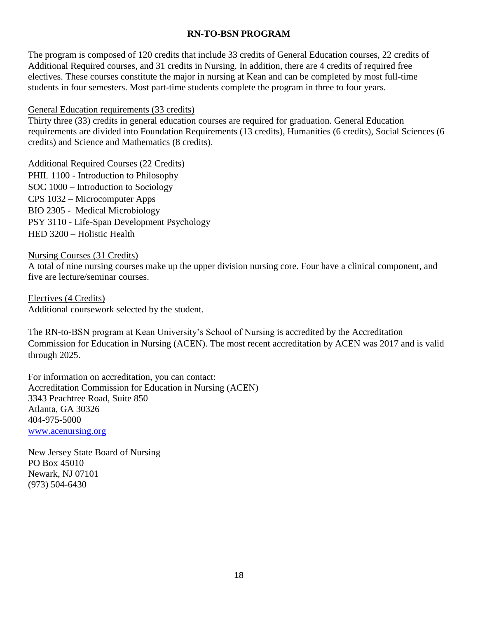#### **RN-TO-BSN PROGRAM**

The program is composed of 120 credits that include 33 credits of General Education courses, 22 credits of Additional Required courses, and 31 credits in Nursing. In addition, there are 4 credits of required free electives. These courses constitute the major in nursing at Kean and can be completed by most full-time students in four semesters. Most part-time students complete the program in three to four years.

#### General Education requirements (33 credits)

Thirty three (33) credits in general education courses are required for graduation. General Education requirements are divided into Foundation Requirements (13 credits), Humanities (6 credits), Social Sciences (6 credits) and Science and Mathematics (8 credits).

Additional Required Courses (22 Credits) PHIL 1100 - Introduction to Philosophy SOC 1000 – Introduction to Sociology CPS 1032 – Microcomputer Apps BIO 2305 - Medical Microbiology PSY 3110 - Life-Span Development Psychology HED 3200 – Holistic Health

#### Nursing Courses (31 Credits)

A total of nine nursing courses make up the upper division nursing core. Four have a clinical component, and five are lecture/seminar courses.

Electives (4 Credits) Additional coursework selected by the student.

The RN-to-BSN program at Kean University's School of Nursing is accredited by the Accreditation Commission for Education in Nursing (ACEN). The most recent accreditation by ACEN was 2017 and is valid through 2025.

For information on accreditation, you can contact: Accreditation Commission for Education in Nursing (ACEN) 3343 Peachtree Road, Suite 850 Atlanta, GA 30326 404-975-5000 [www.acenursing.org](http://www.acenursing.org/) 

New Jersey State Board of Nursing PO Box 45010 Newark, NJ 07101 (973) 504-6430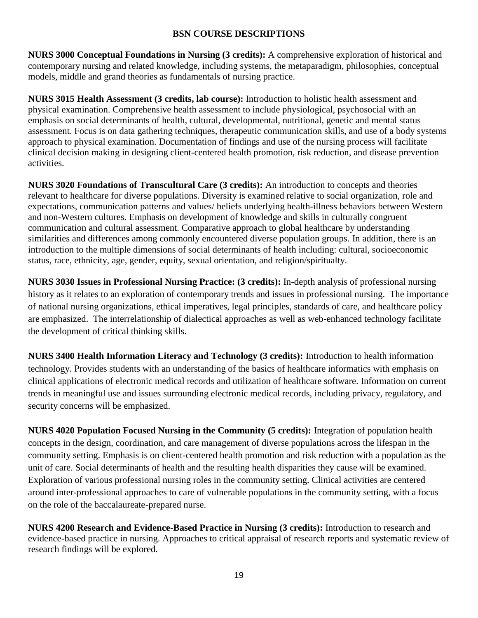# **BSN COURSE DESCRIPTIONS**

**NURS 3000 Conceptual Foundations in Nursing (3 credits):** A comprehensive exploration of historical and contemporary nursing and related knowledge, including systems, the metaparadigm, philosophies, conceptual models, middle and grand theories as fundamentals of nursing practice.

**NURS 3015 Health Assessment (3 credits, lab course):** Introduction to holistic health assessment and physical examination. Comprehensive health assessment to include physiological, psychosocial with an emphasis on social determinants of health, cultural, developmental, nutritional, genetic and mental status assessment. Focus is on data gathering techniques, therapeutic communication skills, and use of a body systems approach to physical examination. Documentation of findings and use of the nursing process will facilitate clinical decision making in designing client-centered health promotion, risk reduction, and disease prevention activities.

**NURS 3020 Foundations of Transcultural Care (3 credits):** An introduction to concepts and theories relevant to healthcare for diverse populations. Diversity is examined relative to social organization, role and expectations, communication patterns and values/ beliefs underlying health-illness behaviors between Western and non-Western cultures. Emphasis on development of knowledge and skills in culturally congruent communication and cultural assessment. Comparative approach to global healthcare by understanding similarities and differences among commonly encountered diverse population groups. In addition, there is an introduction to the multiple dimensions of social determinants of health including: cultural, socioeconomic status, race, ethnicity, age, gender, equity, sexual orientation, and religion/spiritualty.

**NURS 3030 Issues in Professional Nursing Practice: (3 credits):** In-depth analysis of professional nursing history as it relates to an exploration of contemporary trends and issues in professional nursing. The importance of national nursing organizations, ethical imperatives, legal principles, standards of care, and healthcare policy are emphasized. The interrelationship of dialectical approaches as well as web-enhanced technology facilitate the development of critical thinking skills.

**NURS 3400 Health Information Literacy and Technology (3 credits):** Introduction to health information technology. Provides students with an understanding of the basics of healthcare informatics with emphasis on clinical applications of electronic medical records and utilization of healthcare software. Information on current trends in meaningful use and issues surrounding electronic medical records, including privacy, regulatory, and security concerns will be emphasized.

**NURS 4020 Population Focused Nursing in the Community (5 credits):** Integration of population health concepts in the design, coordination, and care management of diverse populations across the lifespan in the community setting. Emphasis is on client-centered health promotion and risk reduction with a population as the unit of care. Social determinants of health and the resulting health disparities they cause will be examined. Exploration of various professional nursing roles in the community setting. Clinical activities are centered around inter-professional approaches to care of vulnerable populations in the community setting, with a focus on the role of the baccalaureate-prepared nurse.

**NURS 4200 Research and Evidence-Based Practice in Nursing (3 credits):** Introduction to research and evidence-based practice in nursing. Approaches to critical appraisal of research reports and systematic review of research findings will be explored.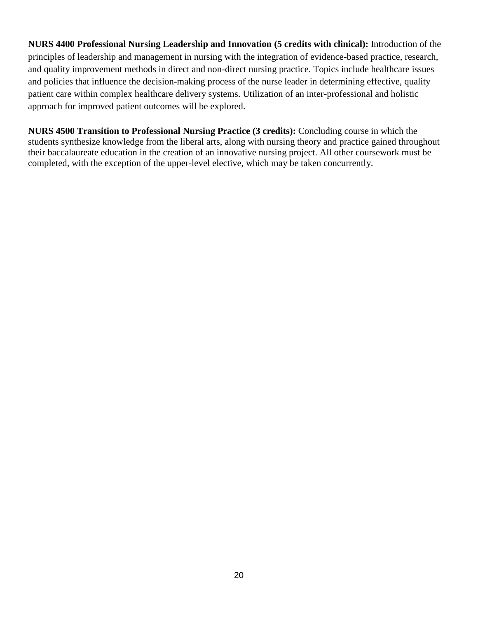**NURS 4400 Professional Nursing Leadership and Innovation (5 credits with clinical):** Introduction of the principles of leadership and management in nursing with the integration of evidence-based practice, research, and quality improvement methods in direct and non-direct nursing practice. Topics include healthcare issues and policies that influence the decision-making process of the nurse leader in determining effective, quality patient care within complex healthcare delivery systems. Utilization of an inter-professional and holistic approach for improved patient outcomes will be explored.

**NURS 4500 Transition to Professional Nursing Practice (3 credits):** Concluding course in which the students synthesize knowledge from the liberal arts, along with nursing theory and practice gained throughout their baccalaureate education in the creation of an innovative nursing project. All other coursework must be completed, with the exception of the upper-level elective, which may be taken concurrently.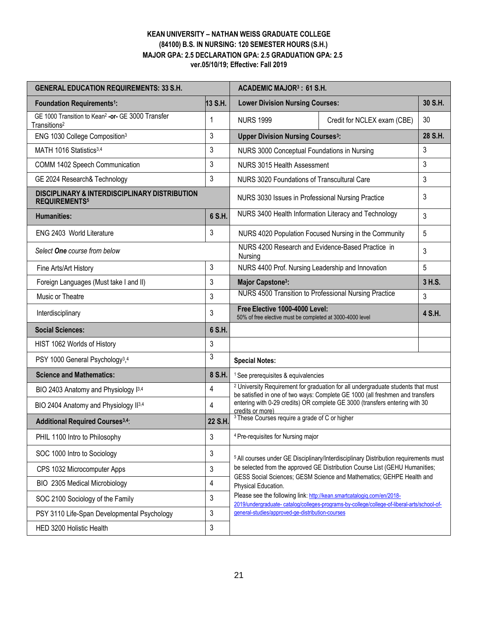#### **KEAN UNIVERSITY – NATHAN WEISS GRADUATE COLLEGE (84100) B.S. IN NURSING: 120 SEMESTER HOURS (S.H.) MAJOR GPA: 2.5 DECLARATION GPA: 2.5 GRADUATION GPA: 2.5 ver.05/10/19; Effective: Fall 2019**

| <b>GENERAL EDUCATION REQUIREMENTS: 33 S.H.</b>                                              |         | <b>ACADEMIC MAJOR3: 61 S.H.</b>                                                                                                                                                                                                                                                                                                                                                                                                                                                                           |                                                       |         |
|---------------------------------------------------------------------------------------------|---------|-----------------------------------------------------------------------------------------------------------------------------------------------------------------------------------------------------------------------------------------------------------------------------------------------------------------------------------------------------------------------------------------------------------------------------------------------------------------------------------------------------------|-------------------------------------------------------|---------|
| <b>Foundation Requirements<sup>1</sup>:</b>                                                 | 13 S.H. | <b>Lower Division Nursing Courses:</b>                                                                                                                                                                                                                                                                                                                                                                                                                                                                    |                                                       | 30 S.H. |
| GE 1000 Transition to Kean <sup>2</sup> -or- GE 3000 Transfer<br>Transitions <sup>2</sup>   | 1       | <b>NURS 1999</b>                                                                                                                                                                                                                                                                                                                                                                                                                                                                                          | Credit for NCLEX exam (CBE)                           | 30      |
| ENG 1030 College Composition <sup>3</sup>                                                   | 3       | <b>Upper Division Nursing Courses3:</b>                                                                                                                                                                                                                                                                                                                                                                                                                                                                   |                                                       | 28 S.H. |
| MATH 1016 Statistics <sup>3,4</sup>                                                         | 3       | 3<br>NURS 3000 Conceptual Foundations in Nursing                                                                                                                                                                                                                                                                                                                                                                                                                                                          |                                                       |         |
| COMM 1402 Speech Communication                                                              | 3       | 3<br>NURS 3015 Health Assessment                                                                                                                                                                                                                                                                                                                                                                                                                                                                          |                                                       |         |
| GE 2024 Research& Technology                                                                | 3       | 3<br>NURS 3020 Foundations of Transcultural Care                                                                                                                                                                                                                                                                                                                                                                                                                                                          |                                                       |         |
| <b>DISCIPLINARY &amp; INTERDISCIPLINARY DISTRIBUTION</b><br><b>REQUIREMENTS<sup>5</sup></b> |         | NURS 3030 Issues in Professional Nursing Practice                                                                                                                                                                                                                                                                                                                                                                                                                                                         |                                                       | 3       |
| <b>Humanities:</b>                                                                          | 6 S.H.  | NURS 3400 Health Information Literacy and Technology                                                                                                                                                                                                                                                                                                                                                                                                                                                      |                                                       | 3       |
| ENG 2403 World Literature                                                                   | 3       |                                                                                                                                                                                                                                                                                                                                                                                                                                                                                                           | NURS 4020 Population Focused Nursing in the Community | 5       |
| Select One course from below                                                                |         | NURS 4200 Research and Evidence-Based Practice in<br>Nursing                                                                                                                                                                                                                                                                                                                                                                                                                                              |                                                       | 3       |
| Fine Arts/Art History                                                                       | 3       | 5<br>NURS 4400 Prof. Nursing Leadership and Innovation                                                                                                                                                                                                                                                                                                                                                                                                                                                    |                                                       |         |
| Foreign Languages (Must take I and II)                                                      | 3       | Major Capstone <sup>3</sup> :                                                                                                                                                                                                                                                                                                                                                                                                                                                                             |                                                       | 3 H.S.  |
| Music or Theatre                                                                            | 3       | NURS 4500 Transition to Professional Nursing Practice                                                                                                                                                                                                                                                                                                                                                                                                                                                     |                                                       | 3       |
| Interdisciplinary                                                                           | 3       | Free Elective 1000-4000 Level:<br>50% of free elective must be completed at 3000-4000 level                                                                                                                                                                                                                                                                                                                                                                                                               |                                                       | 4 S.H.  |
| <b>Social Sciences:</b>                                                                     | 6 S.H.  |                                                                                                                                                                                                                                                                                                                                                                                                                                                                                                           |                                                       |         |
| HIST 1062 Worlds of History                                                                 | 3       |                                                                                                                                                                                                                                                                                                                                                                                                                                                                                                           |                                                       |         |
| PSY 1000 General Psychology <sup>3</sup> , <sup>4</sup>                                     | 3       | <b>Special Notes:</b>                                                                                                                                                                                                                                                                                                                                                                                                                                                                                     |                                                       |         |
| <b>Science and Mathematics:</b>                                                             | 8 S.H.  | <sup>1</sup> See prerequisites & equivalencies                                                                                                                                                                                                                                                                                                                                                                                                                                                            |                                                       |         |
| BIO 2403 Anatomy and Physiology 13,4                                                        | 4       | <sup>2</sup> University Requirement for graduation for all undergraduate students that must<br>be satisfied in one of two ways: Complete GE 1000 (all freshmen and transfers                                                                                                                                                                                                                                                                                                                              |                                                       |         |
| BIO 2404 Anatomy and Physiology II3,4                                                       | 4       | entering with 0-29 credits) OR complete GE 3000 (transfers entering with 30<br>credits or more)                                                                                                                                                                                                                                                                                                                                                                                                           |                                                       |         |
| <b>Additional Required Courses</b> 3,4:                                                     | 22 S.H. | <sup>3</sup> These Courses require a grade of C or higher                                                                                                                                                                                                                                                                                                                                                                                                                                                 |                                                       |         |
| PHIL 1100 Intro to Philosophy                                                               | 3       | <sup>4</sup> Pre-requisites for Nursing major                                                                                                                                                                                                                                                                                                                                                                                                                                                             |                                                       |         |
| SOC 1000 Intro to Sociology                                                                 | 3       | <sup>5</sup> All courses under GE Disciplinary/Interdisciplinary Distribution requirements must<br>be selected from the approved GE Distribution Course List (GEHU Humanities;<br>GESS Social Sciences; GESM Science and Mathematics; GEHPE Health and<br>Physical Education.<br>Please see the following link: http://kean.smartcatalogiq.com/en/2018-<br>2019/undergraduate-catalog/colleges-programs-by-college/college-of-liberal-arts/school-of-<br>general-studies/approved-ge-distribution-courses |                                                       |         |
| CPS 1032 Microcomputer Apps                                                                 | 3       |                                                                                                                                                                                                                                                                                                                                                                                                                                                                                                           |                                                       |         |
| BIO 2305 Medical Microbiology                                                               | 4       |                                                                                                                                                                                                                                                                                                                                                                                                                                                                                                           |                                                       |         |
| SOC 2100 Sociology of the Family                                                            | 3       |                                                                                                                                                                                                                                                                                                                                                                                                                                                                                                           |                                                       |         |
| PSY 3110 Life-Span Developmental Psychology                                                 | 3       |                                                                                                                                                                                                                                                                                                                                                                                                                                                                                                           |                                                       |         |
| HED 3200 Holistic Health                                                                    | 3       |                                                                                                                                                                                                                                                                                                                                                                                                                                                                                                           |                                                       |         |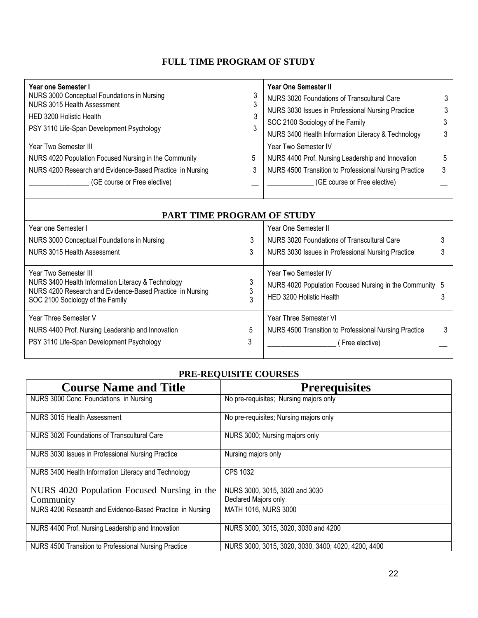# **FULL TIME PROGRAM OF STUDY**

| Year one Semester I<br>NURS 3000 Conceptual Foundations in Nursing<br><b>NURS 3015 Health Assessment</b><br>HED 3200 Holistic Health<br>PSY 3110 Life-Span Development Psychology | 3<br>3<br>3<br>3                      | <b>Year One Semester II</b><br>NURS 3020 Foundations of Transcultural Care<br>NURS 3030 Issues in Professional Nursing Practice<br>SOC 2100 Sociology of the Family<br>NURS 3400 Health Information Literacy & Technology | 3<br>3<br>3<br>3 |
|-----------------------------------------------------------------------------------------------------------------------------------------------------------------------------------|---------------------------------------|---------------------------------------------------------------------------------------------------------------------------------------------------------------------------------------------------------------------------|------------------|
| Year Two Semester III<br>NURS 4020 Population Focused Nursing in the Community<br>NURS 4200 Research and Evidence-Based Practice in Nursing<br>(GE course or Free elective)       | 5<br>3                                | Year Two Semester IV<br>NURS 4400 Prof. Nursing Leadership and Innovation<br>NURS 4500 Transition to Professional Nursing Practice<br>(GE course or Free elective)                                                        | 5<br>3           |
| PART TIME PROGRAM OF STUDY<br>Year one Semester I<br>NURS 3000 Conceptual Foundations in Nursing<br><b>NURS 3015 Health Assessment</b>                                            | 3<br>3                                | Year One Semester II<br>NURS 3020 Foundations of Transcultural Care<br>NURS 3030 Issues in Professional Nursing Practice                                                                                                  | 3                |
| Year Two Semester III<br>NURS 3400 Health Information Literacy & Technology<br>NURS 4200 Research and Evidence-Based Practice in Nursing<br>SOC 2100 Sociology of the Family      | 3<br>$\mathfrak{S}$<br>$\overline{3}$ | Year Two Semester IV<br>NURS 4020 Population Focused Nursing in the Community 5<br>HED 3200 Holistic Health                                                                                                               | 3                |
| Year Three Semester V<br>NURS 4400 Prof. Nursing Leadership and Innovation<br>PSY 3110 Life-Span Development Psychology                                                           | 5<br>3                                | Year Three Semester VI<br>NURS 4500 Transition to Professional Nursing Practice<br>(Free elective)                                                                                                                        | 3                |

# **PRE-REQUISITE COURSES**

| <b>Course Name and Title</b>                              | <b>Prerequisites</b>                                |
|-----------------------------------------------------------|-----------------------------------------------------|
| NURS 3000 Conc. Foundations in Nursing                    | No pre-requisites; Nursing majors only              |
| NURS 3015 Health Assessment                               | No pre-requisites; Nursing majors only              |
| NURS 3020 Foundations of Transcultural Care               | NURS 3000; Nursing majors only                      |
| NURS 3030 Issues in Professional Nursing Practice         | Nursing majors only                                 |
| NURS 3400 Health Information Literacy and Technology      | CPS 1032                                            |
| NURS 4020 Population Focused Nursing in the               | NURS 3000, 3015, 3020 and 3030                      |
| Community                                                 | Declared Majors only                                |
| NURS 4200 Research and Evidence-Based Practice in Nursing | MATH 1016, NURS 3000                                |
| NURS 4400 Prof. Nursing Leadership and Innovation         | NURS 3000, 3015, 3020, 3030 and 4200                |
| NURS 4500 Transition to Professional Nursing Practice     | NURS 3000, 3015, 3020, 3030, 3400, 4020, 4200, 4400 |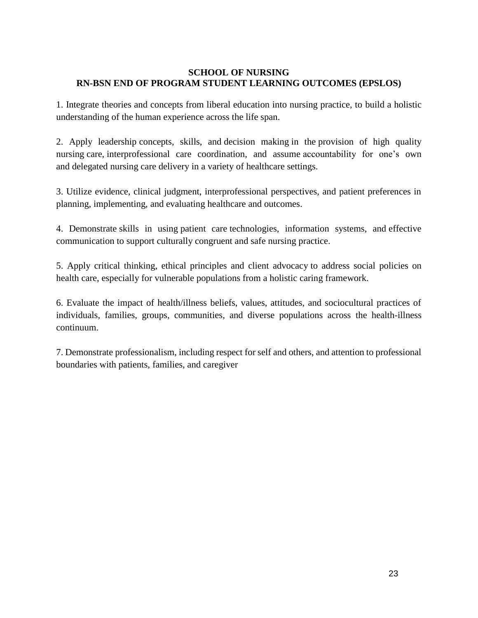#### **SCHOOL OF NURSING RN-BSN END OF PROGRAM STUDENT LEARNING OUTCOMES (EPSLOS)**

1. Integrate theories and concepts from liberal education into nursing practice, to build a holistic understanding of the human experience across the life span.

2. Apply leadership concepts, skills, and decision making in the provision of high quality nursing care, interprofessional care coordination, and assume accountability for one's own and delegated nursing care delivery in a variety of healthcare settings.

3. Utilize evidence, clinical judgment, interprofessional perspectives, and patient preferences in planning, implementing, and evaluating healthcare and outcomes.

4. Demonstrate skills in using patient care technologies, information systems, and effective communication to support culturally congruent and safe nursing practice.

5. Apply critical thinking, ethical principles and client advocacy to address social policies on health care, especially for vulnerable populations from a holistic caring framework.

6. Evaluate the impact of health/illness beliefs, values, attitudes, and sociocultural practices of individuals, families, groups, communities, and diverse populations across the health-illness continuum.

7. Demonstrate professionalism, including respect for self and others, and attention to professional boundaries with patients, families, and caregiver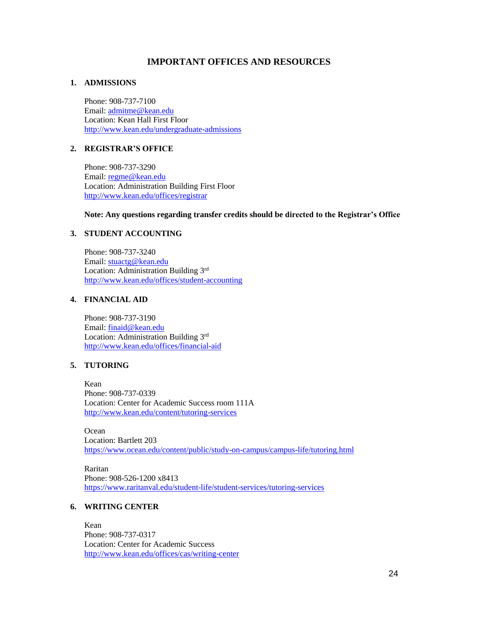#### **IMPORTANT OFFICES AND RESOURCES**

#### **1. ADMISSIONS**

Phone: 908-737-7100 Email: [admitme@kean.edu](mailto:admitme@kean.edu) Location: Kean Hall First Floor <http://www.kean.edu/undergraduate-admissions>

#### **2. REGISTRAR'S OFFICE**

Phone: 908-737-3290 Email: [regme@kean.edu](mailto:regme@kean.edu) Location: Administration Building First Floor <http://www.kean.edu/offices/registrar>

#### **Note: Any questions regarding transfer credits should be directed to the Registrar's Office**

#### **3. STUDENT ACCOUNTING**

Phone: 908-737-3240 Email: [stuactg@kean.edu](mailto:stuactg@kean.edu) Location: Administration Building 3rd <http://www.kean.edu/offices/student-accounting>

#### **4. FINANCIAL AID**

Phone: 908-737-3190 Email: [finaid@kean.edu](mailto:finaid@kean.edu) Location: Administration Building 3rd <http://www.kean.edu/offices/financial-aid>

#### **5. TUTORING**

Kean Phone: 908-737-0339 Location: Center for Academic Success room 111A <http://www.kean.edu/content/tutoring-services>

**Ocean** Location: [Bartlett 203](https://www.ocean.edu/content/public/about/campus-map.html) <https://www.ocean.edu/content/public/study-on-campus/campus-life/tutoring.html>

Raritan Phone: 908-526-1200 x8413 <https://www.raritanval.edu/student-life/student-services/tutoring-services>

#### **6. WRITING CENTER**

Kean Phone: 908-737-0317 Location: Center for Academic Success <http://www.kean.edu/offices/cas/writing-center>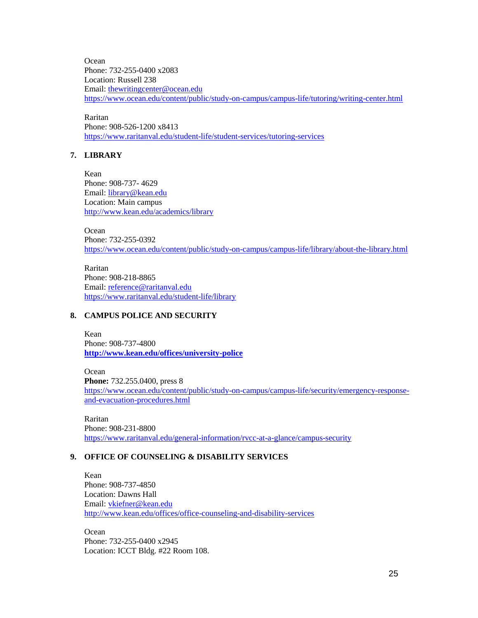**Ocean** Phone: 732-255-0400 x2083 Location: [Russell 238](https://www.ocean.edu/content/public/about/campus-map.html) Email: [thewritingcenter@ocean.edu](mailto:thewritingcenter@ocean.edu) <https://www.ocean.edu/content/public/study-on-campus/campus-life/tutoring/writing-center.html>

Raritan Phone: 908-526-1200 x8413 <https://www.raritanval.edu/student-life/student-services/tutoring-services>

#### **7. LIBRARY**

Kean Phone: 908-737- 4629 Email: [library@kean.edu](mailto:library@kean.edu) Location: Main campus <http://www.kean.edu/academics/library>

**Ocean** Phone: 732-255-0392 <https://www.ocean.edu/content/public/study-on-campus/campus-life/library/about-the-library.html>

Raritan Phone: 908-218-8865 Email: [reference@raritanval.edu](mailto:reference@raritanval.edu) <https://www.raritanval.edu/student-life/library>

#### **8. CAMPUS POLICE AND SECURITY**

Kean Phone: 908-737-4800 **<http://www.kean.edu/offices/university-police>**

**Ocean Phone:** 732.255.0400, press 8 [https://www.ocean.edu/content/public/study-on-campus/campus-life/security/emergency-response](https://www.ocean.edu/content/public/study-on-campus/campus-life/security/emergency-response-and-evacuation-procedures.html)[and-evacuation-procedures.html](https://www.ocean.edu/content/public/study-on-campus/campus-life/security/emergency-response-and-evacuation-procedures.html)

Raritan Phone: 908-231-8800 <https://www.raritanval.edu/general-information/rvcc-at-a-glance/campus-security>

#### **9. OFFICE OF COUNSELING & DISABILITY SERVICES**

Kean Phone: 908-737-4850 Location: Dawns Hall Email: [vkiefner@kean.edu](mailto:vkiefner@kean.edu) <http://www.kean.edu/offices/office-counseling-and-disability-services>

**Ocean** Phone: 732-255-0400 x2945 Location: ICCT Bldg. #22 Room 108.